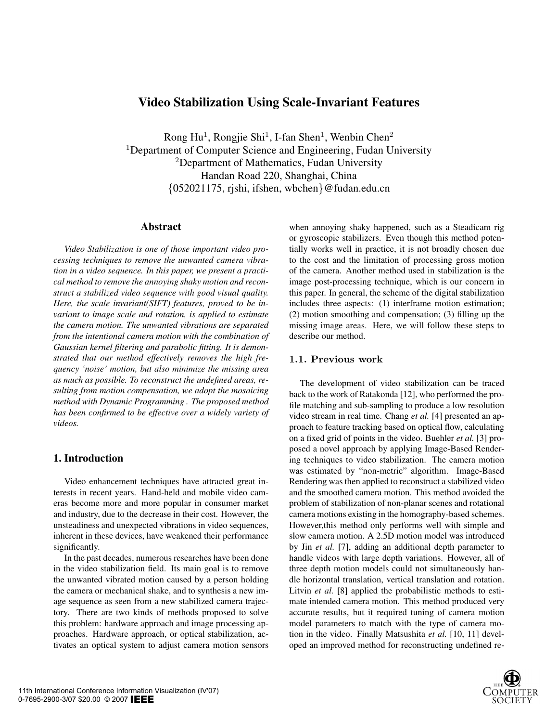# **Video Stabilization Using Scale-Invariant Features**

Rong Hu<sup>1</sup>, Rongjie Shi<sup>1</sup>, I-fan Shen<sup>1</sup>, Wenbin Chen<sup>2</sup> <sup>1</sup>Department of Computer Science and Engineering, Fudan University <sup>2</sup>Department of Mathematics, Fudan University Handan Road 220, Shanghai, China {052021175, rjshi, ifshen, wbchen}@fudan.edu.cn

# **Abstract**

*Video Stabilization is one of those important video processing techniques to remove the unwanted camera vibration in a video sequence. In this paper, we present a practical method to remove the annoying shaky motion and reconstruct a stabilized video sequence with good visual quality. Here, the scale invariant(SIFT) features, proved to be invariant to image scale and rotation, is applied to estimate the camera motion. The unwanted vibrations are separated from the intentional camera motion with the combination of Gaussian kernel filtering and parabolic fitting. It is demonstrated that our method effectively removes the high frequency 'noise' motion, but also minimize the missing area as much as possible. To reconstruct the undefined areas, resulting from motion compensation, we adopt the mosaicing method with Dynamic Programming . The proposed method has been confirmed to be effective over a widely variety of videos.*

# **1. Introduction**

Video enhancement techniques have attracted great interests in recent years. Hand-held and mobile video cameras become more and more popular in consumer market and industry, due to the decrease in their cost. However, the unsteadiness and unexpected vibrations in video sequences, inherent in these devices, have weakened their performance significantly.

In the past decades, numerous researches have been done in the video stabilization field. Its main goal is to remove the unwanted vibrated motion caused by a person holding the camera or mechanical shake, and to synthesis a new image sequence as seen from a new stabilized camera trajectory. There are two kinds of methods proposed to solve this problem: hardware approach and image processing approaches. Hardware approach, or optical stabilization, activates an optical system to adjust camera motion sensors

when annoying shaky happened, such as a Steadicam rig or gyroscopic stabilizers. Even though this method potentially works well in practice, it is not broadly chosen due to the cost and the limitation of processing gross motion of the camera. Another method used in stabilization is the image post-processing technique, which is our concern in this paper. In general, the scheme of the digital stabilization includes three aspects: (1) interframe motion estimation; (2) motion smoothing and compensation; (3) filling up the missing image areas. Here, we will follow these steps to describe our method.

## **1.1. Previous work**

The development of video stabilization can be traced back to the work of Ratakonda [12], who performed the profile matching and sub-sampling to produce a low resolution video stream in real time. Chang *et al.* [4] presented an approach to feature tracking based on optical flow, calculating on a fixed grid of points in the video. Buehler *et al.* [3] proposed a novel approach by applying Image-Based Rendering techniques to video stabilization. The camera motion was estimated by "non-metric" algorithm. Image-Based Rendering was then applied to reconstruct a stabilized video and the smoothed camera motion. This method avoided the problem of stabilization of non-planar scenes and rotational camera motions existing in the homography-based schemes. However,this method only performs well with simple and slow camera motion. A 2.5D motion model was introduced by Jin *et al.* [7], adding an additional depth parameter to handle videos with large depth variations. However, all of three depth motion models could not simultaneously handle horizontal translation, vertical translation and rotation. Litvin *et al.* [8] applied the probabilistic methods to estimate intended camera motion. This method produced very accurate results, but it required tuning of camera motion model parameters to match with the type of camera motion in the video. Finally Matsushita *et al.* [10, 11] developed an improved method for reconstructing undefined re-

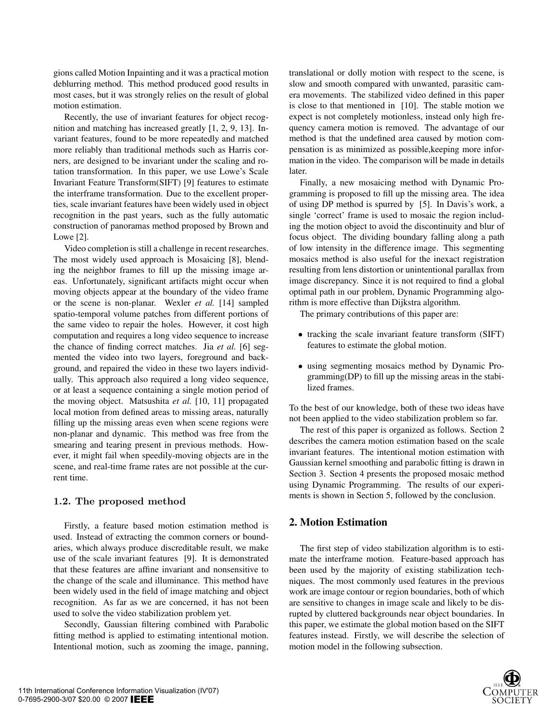gions called Motion Inpainting and it was a practical motion deblurring method. This method produced good results in most cases, but it was strongly relies on the result of global motion estimation.

Recently, the use of invariant features for object recognition and matching has increased greatly [1, 2, 9, 13]. Invariant features, found to be more repeatedly and matched more reliably than traditional methods such as Harris corners, are designed to be invariant under the scaling and rotation transformation. In this paper, we use Lowe's Scale Invariant Feature Transform(SIFT) [9] features to estimate the interframe transformation. Due to the excellent properties, scale invariant features have been widely used in object recognition in the past years, such as the fully automatic construction of panoramas method proposed by Brown and Lowe [2].

Video completion is still a challenge in recent researches. The most widely used approach is Mosaicing [8], blending the neighbor frames to fill up the missing image areas. Unfortunately, significant artifacts might occur when moving objects appear at the boundary of the video frame or the scene is non-planar. Wexler *et al.* [14] sampled spatio-temporal volume patches from different portions of the same video to repair the holes. However, it cost high computation and requires a long video sequence to increase the chance of finding correct matches. Jia *et al.* [6] segmented the video into two layers, foreground and background, and repaired the video in these two layers individually. This approach also required a long video sequence, or at least a sequence containing a single motion period of the moving object. Matsushita *et al.* [10, 11] propagated local motion from defined areas to missing areas, naturally filling up the missing areas even when scene regions were non-planar and dynamic. This method was free from the smearing and tearing present in previous methods. However, it might fail when speedily-moving objects are in the scene, and real-time frame rates are not possible at the current time.

## **1.2. The proposed method**

Firstly, a feature based motion estimation method is used. Instead of extracting the common corners or boundaries, which always produce discreditable result, we make use of the scale invariant features [9]. It is demonstrated that these features are affine invariant and nonsensitive to the change of the scale and illuminance. This method have been widely used in the field of image matching and object recognition. As far as we are concerned, it has not been used to solve the video stabilization problem yet.

Secondly, Gaussian filtering combined with Parabolic fitting method is applied to estimating intentional motion. Intentional motion, such as zooming the image, panning,

translational or dolly motion with respect to the scene, is slow and smooth compared with unwanted, parasitic camera movements. The stabilized video defined in this paper is close to that mentioned in [10]. The stable motion we expect is not completely motionless, instead only high frequency camera motion is removed. The advantage of our method is that the undefined area caused by motion compensation is as minimized as possible,keeping more information in the video. The comparison will be made in details later.

Finally, a new mosaicing method with Dynamic Programming is proposed to fill up the missing area. The idea of using DP method is spurred by [5]. In Davis's work, a single 'correct' frame is used to mosaic the region including the motion object to avoid the discontinuity and blur of focus object. The dividing boundary falling along a path of low intensity in the difference image. This segmenting mosaics method is also useful for the inexact registration resulting from lens distortion or unintentional parallax from image discrepancy. Since it is not required to find a global optimal path in our problem, Dynamic Programming algorithm is more effective than Dijkstra algorithm.

The primary contributions of this paper are:

- tracking the scale invariant feature transform (SIFT) features to estimate the global motion.
- using segmenting mosaics method by Dynamic Programming(DP) to fill up the missing areas in the stabilized frames.

To the best of our knowledge, both of these two ideas have not been applied to the video stabilization problem so far.

The rest of this paper is organized as follows. Section 2 describes the camera motion estimation based on the scale invariant features. The intentional motion estimation with Gaussian kernel smoothing and parabolic fitting is drawn in Section 3. Section 4 presents the proposed mosaic method using Dynamic Programming. The results of our experiments is shown in Section 5, followed by the conclusion.

# **2. Motion Estimation**

The first step of video stabilization algorithm is to estimate the interframe motion. Feature-based approach has been used by the majority of existing stabilization techniques. The most commonly used features in the previous work are image contour or region boundaries, both of which are sensitive to changes in image scale and likely to be disrupted by cluttered backgrounds near object boundaries. In this paper, we estimate the global motion based on the SIFT features instead. Firstly, we will describe the selection of motion model in the following subsection.

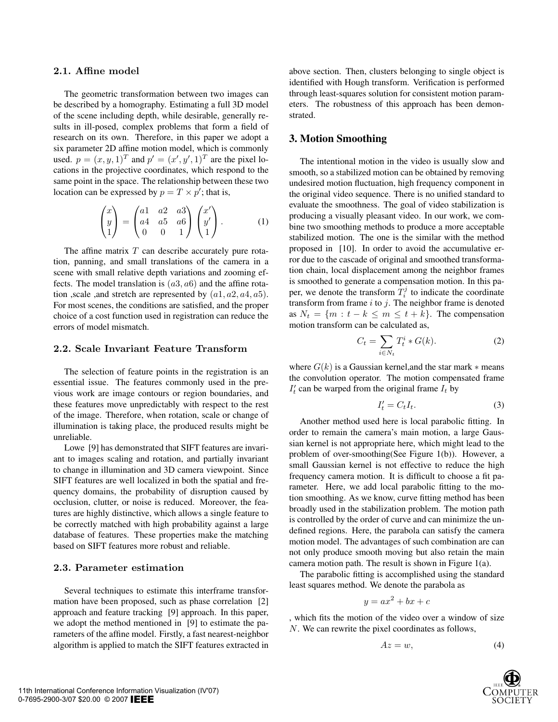#### **2.1. Affine model**

The geometric transformation between two images can be described by a homography. Estimating a full 3D model of the scene including depth, while desirable, generally results in ill-posed, complex problems that form a field of research on its own. Therefore, in this paper we adopt a six parameter 2D affine motion model, which is commonly used.  $p = (x, y, 1)^T$  and  $p' = (x', y', 1)^T$  are the pixel locations in the projective coordinates, which respond to the same point in the space. The relationship between these two location can be expressed by  $p = T \times p'$ ; that is,

$$
\begin{pmatrix} x \\ y \\ 1 \end{pmatrix} = \begin{pmatrix} a1 & a2 & a3 \\ a4 & a5 & a6 \\ 0 & 0 & 1 \end{pmatrix} \begin{pmatrix} x' \\ y' \\ 1 \end{pmatrix}.
$$
 (1)

The affine matrix  $T$  can describe accurately pure rotation, panning, and small translations of the camera in a scene with small relative depth variations and zooming effects. The model translation is  $(a3, a6)$  and the affine rotation , scale , and stretch are represented by  $(a1, a2, a4, a5)$ . For most scenes, the conditions are satisfied, and the proper choice of a cost function used in registration can reduce the errors of model mismatch.

#### **2.2. Scale Invariant Feature Transform**

The selection of feature points in the registration is an essential issue. The features commonly used in the previous work are image contours or region boundaries, and these features move unpredictably with respect to the rest of the image. Therefore, when rotation, scale or change of illumination is taking place, the produced results might be unreliable.

Lowe [9] has demonstrated that SIFT features are invariant to images scaling and rotation, and partially invariant to change in illumination and 3D camera viewpoint. Since SIFT features are well localized in both the spatial and frequency domains, the probability of disruption caused by occlusion, clutter, or noise is reduced. Moreover, the features are highly distinctive, which allows a single feature to be correctly matched with high probability against a large database of features. These properties make the matching based on SIFT features more robust and reliable.

#### **2.3. Parameter estimation**

Several techniques to estimate this interframe transformation have been proposed, such as phase correlation [2] approach and feature tracking [9] approach. In this paper, we adopt the method mentioned in [9] to estimate the parameters of the affine model. Firstly, a fast nearest-neighbor algorithm is applied to match the SIFT features extracted in

above section. Then, clusters belonging to single object is identified with Hough transform. Verification is performed through least-squares solution for consistent motion parameters. The robustness of this approach has been demonstrated.

#### **3. Motion Smoothing**

The intentional motion in the video is usually slow and smooth, so a stabilized motion can be obtained by removing undesired motion fluctuation, high frequency component in the original video sequence. There is no unified standard to evaluate the smoothness. The goal of video stabilization is producing a visually pleasant video. In our work, we combine two smoothing methods to produce a more acceptable stabilized motion. The one is the similar with the method proposed in [10]. In order to avoid the accumulative error due to the cascade of original and smoothed transformation chain, local displacement among the neighbor frames is smoothed to generate a compensation motion. In this paper, we denote the transform  $T_i^j$  to indicate the coordinate transform from frame  $i$  to  $j$ . The neighbor frame is denoted as  $N_t = \{m : t - k \le m \le t + k\}$ . The compensation motion transform can be calculated as,

$$
C_t = \sum_{i \in N_t} T_t^i * G(k).
$$
 (2)

where  $G(k)$  is a Gaussian kernel, and the star mark  $*$  means the convolution operator. The motion compensated frame  $I_t'$  can be warped from the original frame  $I_t$  by

$$
I'_t = C_t I_t. \tag{3}
$$

Another method used here is local parabolic fitting. In order to remain the camera's main motion, a large Gaussian kernel is not appropriate here, which might lead to the problem of over-smoothing(See Figure 1(b)). However, a small Gaussian kernel is not effective to reduce the high frequency camera motion. It is difficult to choose a fit parameter. Here, we add local parabolic fitting to the motion smoothing. As we know, curve fitting method has been broadly used in the stabilization problem. The motion path is controlled by the order of curve and can minimize the undefined regions. Here, the parabola can satisfy the camera motion model. The advantages of such combination are can not only produce smooth moving but also retain the main camera motion path. The result is shown in Figure 1(a).

The parabolic fitting is accomplished using the standard least squares method. We denote the parabola as

$$
y = ax^2 + bx + c
$$

, which fits the motion of the video over a window of size N. We can rewrite the pixel coordinates as follows,

$$
Az = w,\t\t(4)
$$

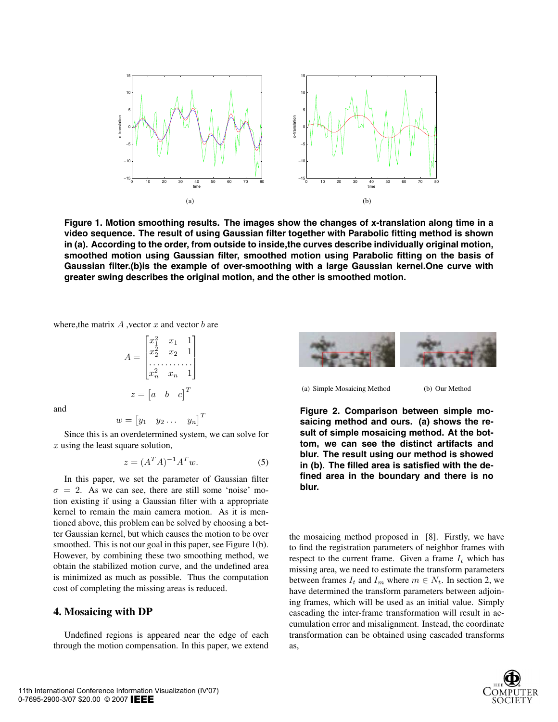

**Figure 1. Motion smoothing results. The images show the changes of x-translation along time in a video sequence. The result of using Gaussian filter together with Parabolic fitting method is shown in (a). According to the order, from outside to inside,the curves describe individually original motion, smoothed motion using Gaussian filter, smoothed motion using Parabolic fitting on the basis of Gaussian filter.(b)is the example of over-smoothing with a large Gaussian kernel.One curve with greater swing describes the original motion, and the other is smoothed motion.**

where, the matrix  $A$ , vector  $x$  and vector  $b$  are

$$
A = \begin{bmatrix} x_1^2 & x_1 & 1 \\ x_2^2 & x_2 & 1 \\ \dots & \dots & \dots \\ x_n^2 & x_n & 1 \end{bmatrix}
$$

$$
z = \begin{bmatrix} a & b & c \end{bmatrix}^T
$$

and

$$
w = [y_1 \quad y_2 \ldots \quad y_n]^T
$$

Since this is an overdetermined system, we can solve for  $x$  using the least square solution,

$$
z = (A^T A)^{-1} A^T w.
$$
 (5)

In this paper, we set the parameter of Gaussian filter  $\sigma = 2$ . As we can see, there are still some 'noise' motion existing if using a Gaussian filter with a appropriate kernel to remain the main camera motion. As it is mentioned above, this problem can be solved by choosing a better Gaussian kernel, but which causes the motion to be over smoothed. This is not our goal in this paper, see Figure 1(b). However, by combining these two smoothing method, we obtain the stabilized motion curve, and the undefined area is minimized as much as possible. Thus the computation cost of completing the missing areas is reduced.

## **4. Mosaicing with DP**

Undefined regions is appeared near the edge of each through the motion compensation. In this paper, we extend



(a) Simple Mosaicing Method (b) Our Method

**Figure 2. Comparison between simple mosaicing method and ours. (a) shows the result of simple mosaicing method. At the bottom, we can see the distinct artifacts and blur. The result using our method is showed in (b). The filled area is satisfied with the defined area in the boundary and there is no blur.**

the mosaicing method proposed in [8]. Firstly, we have to find the registration parameters of neighbor frames with respect to the current frame. Given a frame  $I_t$  which has missing area, we need to estimate the transform parameters between frames  $I_t$  and  $I_m$  where  $m \in N_t$ . In section 2, we have determined the transform parameters between adjoining frames, which will be used as an initial value. Simply cascading the inter-frame transformation will result in accumulation error and misalignment. Instead, the coordinate transformation can be obtained using cascaded transforms as,

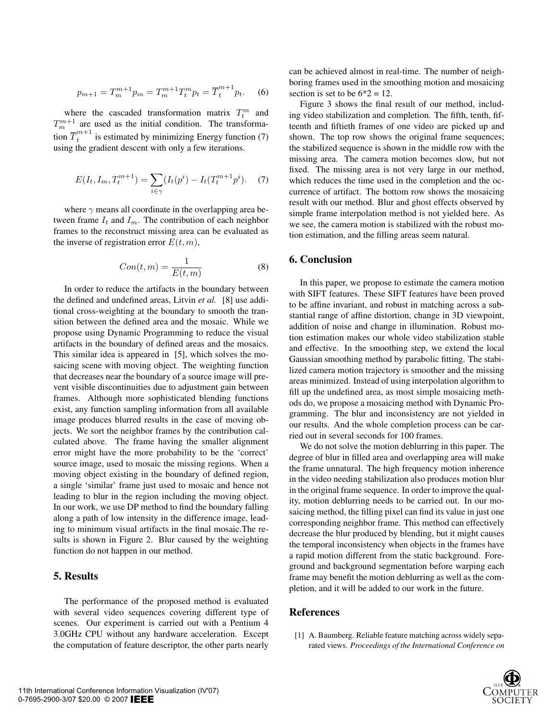$$
p_{m+1} = T_m^{m+1} p_m = T_m^{m+1} T_t^m p_t = \overline{T}_t^{m+1} p_t.
$$
 (6)

where the cascaded transformation matrix  $T_t^m$  and  $T_m^{m+1}$  are used as the initial condition. The transformation  $\overline{T}_t^{m+1}$  is estimated by minimizing Energy function (7) using the gradient descent with only a few iterations.

$$
E(I_t, I_m, T_t^{m+1}) = \sum_{i \in \gamma} (I_t(p^i) - I_t(T_t^{m+1}p^i). \tag{7}
$$

where  $\gamma$  means all coordinate in the overlapping area between frame  $I_t$  and  $I_m$ . The contribution of each neighbor frames to the reconstruct missing area can be evaluated as the inverse of registration error  $E(t, m)$ ,

$$
Con(t, m) = \frac{1}{E(t, m)}
$$
\n(8)

In order to reduce the artifacts in the boundary between the defined and undefined areas, Litvin *et al.* [8] use additional cross-weighting at the boundary to smooth the transition between the defined area and the mosaic. While we propose using Dynamic Programming to reduce the visual artifacts in the boundary of defined areas and the mosaics. This similar idea is appeared in [5], which solves the mosaicing scene with moving object. The weighting function that decreases near the boundary of a source image will prevent visible discontinuities due to adjustment gain between frames. Although more sophisticated blending functions exist, any function sampling information from all available image produces blurred results in the case of moving objects. We sort the neighbor frames by the contribution calculated above. The frame having the smaller alignment error might have the more probability to be the 'correct' source image, used to mosaic the missing regions. When a moving object existing in the boundary of defined region, a single 'similar' frame just used to mosaic and hence not leading to blur in the region including the moving object. In our work, we use DP method to find the boundary falling along a path of low intensity in the difference image, leading to minimum visual artifacts in the final mosaic.The results is shown in Figure 2. Blur caused by the weighting function do not happen in our method.

# **5. Results**

The performance of the proposed method is evaluated with several video sequences covering different type of scenes. Our experiment is carried out with a Pentium 4 3.0GHz CPU without any hardware acceleration. Except the computation of feature descriptor, the other parts nearly

can be achieved almost in real-time. The number of neighboring frames used in the smoothing motion and mosaicing section is set to be  $6*2 = 12$ .

Figure 3 shows the final result of our method, including video stabilization and completion. The fifth, tenth, fifteenth and fiftieth frames of one video are picked up and shown. The top row shows the original frame sequences; the stabilized sequence is shown in the middle row with the missing area. The camera motion becomes slow, but not fixed. The missing area is not very large in our method, which reduces the time used in the completion and the occurrence of artifact. The bottom row shows the mosaicing result with our method. Blur and ghost effects observed by simple frame interpolation method is not yielded here. As we see, the camera motion is stabilized with the robust motion estimation, and the filling areas seem natural.

# **6. Conclusion**

In this paper, we propose to estimate the camera motion with SIFT features. These SIFT features have been proved to be affine invariant, and robust in matching across a substantial range of affine distortion, change in 3D viewpoint, addition of noise and change in illumination. Robust motion estimation makes our whole video stabilization stable and effective. In the smoothing step, we extend the local Gaussian smoothing method by parabolic fitting. The stabilized camera motion trajectory is smoother and the missing areas minimized. Instead of using interpolation algorithm to fill up the undefined area, as most simple mosaicing methods do, we propose a mosaicing method with Dynamic Programming. The blur and inconsistency are not yielded in our results. And the whole completion process can be carried out in several seconds for 100 frames.

We do not solve the motion deblurring in this paper. The degree of blur in filled area and overlapping area will make the frame unnatural. The high frequency motion inherence in the video needing stabilization also produces motion blur in the original frame sequence. In order to improve the quality, motion deblurring needs to be carried out. In our mosaicing method, the filling pixel can find its value in just one corresponding neighbor frame. This method can effectively decrease the blur produced by blending, but it might causes the temporal inconsistency when objects in the frames have a rapid motion different from the static background. Foreground and background segmentation before warping each frame may benefit the motion deblurring as well as the completion, and it will be added to our work in the future.

#### **References**

[1] A. Baumberg. Reliable feature matching across widely separated views. *Proceedings of the International Conference on*